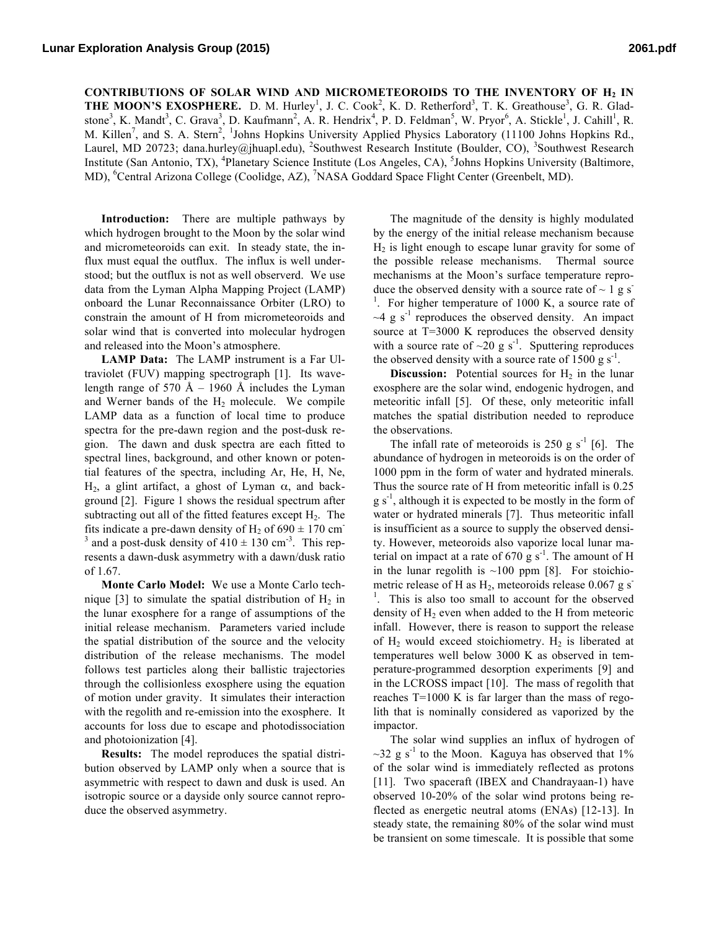CONTRIBUTIONS OF SOLAR WIND AND MICROMETEOROIDS TO THE INVENTORY OF H<sub>2</sub> IN THE MOON'S EXOSPHERE. D. M. Hurley<sup>1</sup>, J. C. Cook<sup>2</sup>, K. D. Retherford<sup>3</sup>, T. K. Greathouse<sup>3</sup>, G. R. Gladstone<sup>3</sup>, K. Mandt<sup>3</sup>, C. Grava<sup>3</sup>, D. Kaufmann<sup>2</sup>, A. R. Hendrix<sup>4</sup>, P. D. Feldman<sup>5</sup>, W. Pryor<sup>6</sup>, A. Stickle<sup>1</sup>, J. Cahill<sup>1</sup>, R. M. Killen<sup>7</sup>, and S. A. Stern<sup>2</sup>, <sup>1</sup>Johns Hopkins University Applied Physics Laboratory (11100 Johns Hopkins Rd., Laurel, MD 20723; dana.hurley@jhuapl.edu), <sup>2</sup>Southwest Research Institute (Boulder, CO), <sup>3</sup>Southwest Research Institute (San Antonio, TX), <sup>4</sup>Planetary Science Institute (Los Angeles, CA), <sup>5</sup>Johns Hopkins University (Baltimore, MD), <sup>6</sup>Central Arizona College (Coolidge, AZ), <sup>7</sup>NASA Goddard Space Flight Center (Greenbelt, MD).

**Introduction:** There are multiple pathways by which hydrogen brought to the Moon by the solar wind and micrometeoroids can exit. In steady state, the influx must equal the outflux. The influx is well understood; but the outflux is not as well observerd. We use data from the Lyman Alpha Mapping Project (LAMP) onboard the Lunar Reconnaissance Orbiter (LRO) to constrain the amount of H from micrometeoroids and solar wind that is converted into molecular hydrogen and released into the Moon's atmosphere.

**LAMP Data:** The LAMP instrument is a Far Ultraviolet (FUV) mapping spectrograph [1]. Its wavelength range of 570 Å – 1960 Å includes the Lyman and Werner bands of the  $H<sub>2</sub>$  molecule. We compile LAMP data as a function of local time to produce spectra for the pre-dawn region and the post-dusk region. The dawn and dusk spectra are each fitted to spectral lines, background, and other known or potential features of the spectra, including Ar, He, H, Ne, H<sub>2</sub>, a glint artifact, a ghost of Lyman  $\alpha$ , and background [2]. Figure 1 shows the residual spectrum after subtracting out all of the fitted features except  $H<sub>2</sub>$ . The fits indicate a pre-dawn density of  $H_2$  of 690  $\pm$  170 cm<sup>-</sup> <sup>3</sup> and a post-dusk density of  $410 \pm 130$  cm<sup>-3</sup>. This represents a dawn-dusk asymmetry with a dawn/dusk ratio of 1.67.

**Monte Carlo Model:** We use a Monte Carlo technique [3] to simulate the spatial distribution of  $H_2$  in the lunar exosphere for a range of assumptions of the initial release mechanism. Parameters varied include the spatial distribution of the source and the velocity distribution of the release mechanisms. The model follows test particles along their ballistic trajectories through the collisionless exosphere using the equation of motion under gravity. It simulates their interaction with the regolith and re-emission into the exosphere. It accounts for loss due to escape and photodissociation and photoionization [4].

**Results:** The model reproduces the spatial distribution observed by LAMP only when a source that is asymmetric with respect to dawn and dusk is used. An isotropic source or a dayside only source cannot reproduce the observed asymmetry.

The magnitude of the density is highly modulated by the energy of the initial release mechanism because  $H<sub>2</sub>$  is light enough to escape lunar gravity for some of the possible release mechanisms. Thermal source mechanisms at the Moon's surface temperature reproduce the observed density with a source rate of  $\sim 1$  g s<sup>-</sup> <sup>1</sup>. For higher temperature of 1000 K, a source rate of  $\sim$ 4 g s<sup>-1</sup> reproduces the observed density. An impact source at T=3000 K reproduces the observed density with a source rate of  $\sim 20$  g s<sup>-1</sup>. Sputtering reproduces the observed density with a source rate of  $1500 \text{ g s}^{-1}$ .

**Discussion:** Potential sources for  $H_2$  in the lunar exosphere are the solar wind, endogenic hydrogen, and meteoritic infall [5]. Of these, only meteoritic infall matches the spatial distribution needed to reproduce the observations.

The infall rate of meteoroids is  $250$  g s<sup>-1</sup> [6]. The abundance of hydrogen in meteoroids is on the order of 1000 ppm in the form of water and hydrated minerals. Thus the source rate of H from meteoritic infall is 0.25  $g s<sup>-1</sup>$ , although it is expected to be mostly in the form of water or hydrated minerals [7]. Thus meteoritic infall is insufficient as a source to supply the observed density. However, meteoroids also vaporize local lunar material on impact at a rate of  $670$  g s<sup>-1</sup>. The amount of H in the lunar regolith is  $\sim$ 100 ppm [8]. For stoichiometric release of H as  $H_2$ , meteoroids release 0.067 g s<sup>-</sup> <sup>1</sup>. This is also too small to account for the observed density of  $H_2$  even when added to the H from meteoric infall. However, there is reason to support the release of  $H<sub>2</sub>$  would exceed stoichiometry.  $H<sub>2</sub>$  is liberated at temperatures well below 3000 K as observed in temperature-programmed desorption experiments [9] and in the LCROSS impact [10]. The mass of regolith that reaches T=1000 K is far larger than the mass of regolith that is nominally considered as vaporized by the impactor.

The solar wind supplies an influx of hydrogen of  $\sim$ 32 g s<sup>-1</sup> to the Moon. Kaguya has observed that 1% of the solar wind is immediately reflected as protons [11]. Two spaceraft (IBEX and Chandrayaan-1) have observed 10-20% of the solar wind protons being reflected as energetic neutral atoms (ENAs) [12-13]. In steady state, the remaining 80% of the solar wind must be transient on some timescale. It is possible that some